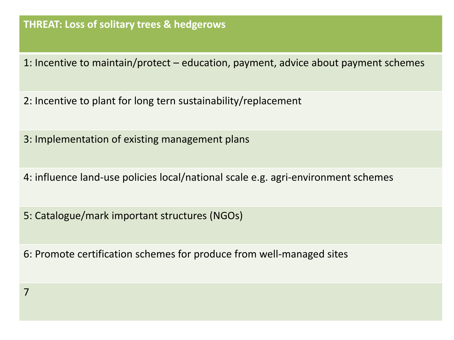#### **THREAT: Loss of solitary trees & hedgerows**

- 1: Incentive to maintain/protect education, payment, advice about payment schemes
- 2: Incentive to plant for long tern sustainability/replacement
- 3: Implementation of existing management plans
- 4: influence land-use policies local/national scale e.g. agri-environment schemes
- 5: Catalogue/mark important structures (NGOs)
- 6: Promote certification schemes for produce from well-managed sites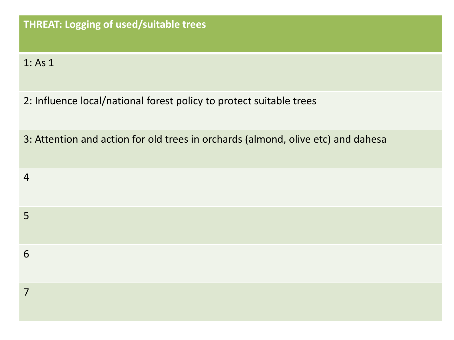#### 1: As 1

- 2: Influence local/national forest policy to protect suitable trees
- 3: Attention and action for old trees in orchards (almond, olive etc) and dahesa

| $\overline{4}$  |  |  |  |
|-----------------|--|--|--|
| $5\overline{)}$ |  |  |  |
| 6               |  |  |  |
| 7               |  |  |  |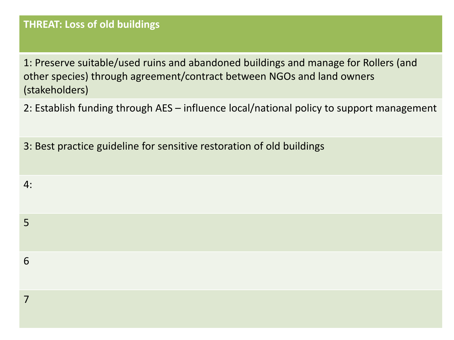#### **THREAT: Loss of old buildings**

4:

1: Preserve suitable/used ruins and abandoned buildings and manage for Rollers (and other species) through agreement/contract between NGOs and land owners (stakeholders)

2: Establish funding through AES – influence local/national policy to support management

3: Best practice guideline for sensitive restoration of old buildings

| 5 |  |  |  |
|---|--|--|--|
| 6 |  |  |  |
| – |  |  |  |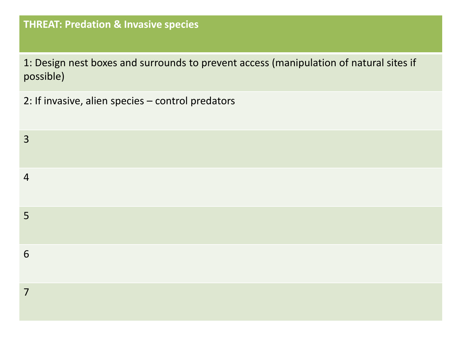## **THREAT: Predation & Invasive species**

1: Design nest boxes and surrounds to prevent access (manipulation of natural sites if possible)

2: If invasive, alien species – control predators

| $\overline{3}$ |  |  |
|----------------|--|--|
| $\overline{4}$ |  |  |
| 5 <sup>5</sup> |  |  |
| 6              |  |  |
| $\overline{7}$ |  |  |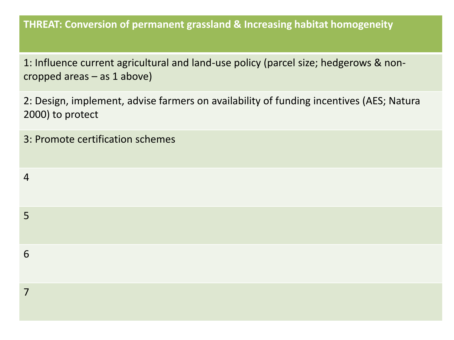**THREAT: Conversion of permanent grassland & Increasing habitat homogeneity**

1: Influence current agricultural and land-use policy (parcel size; hedgerows & noncropped areas – as 1 above)

2: Design, implement, advise farmers on availability of funding incentives (AES; Natura 2000) to protect

| 3: Promote certification schemes |  |
|----------------------------------|--|
| $\overline{4}$                   |  |
| $5\overline{)}$                  |  |
| 6                                |  |
| $\overline{7}$                   |  |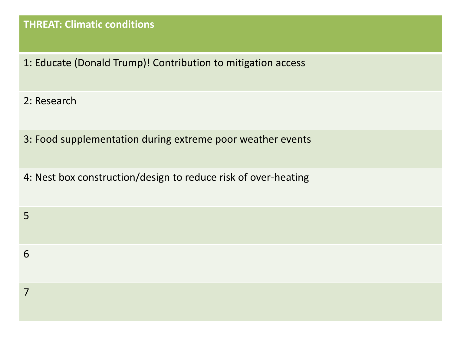#### **THREAT: Climatic conditions**

1: Educate (Donald Trump)! Contribution to mitigation access

2: Research

3: Food supplementation during extreme poor weather events

4: Nest box construction/design to reduce risk of over-heating

6

7

5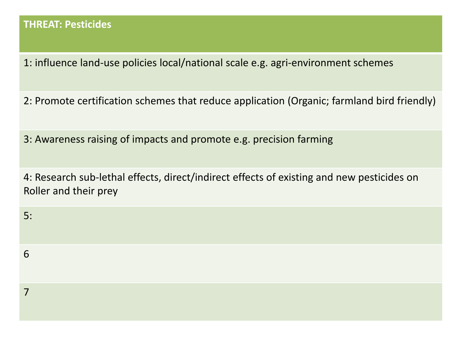1: influence land-use policies local/national scale e.g. agri-environment schemes

2: Promote certification schemes that reduce application (Organic; farmland bird friendly)

3: Awareness raising of impacts and promote e.g. precision farming

4: Research sub-lethal effects, direct/indirect effects of existing and new pesticides on Roller and their prey

5:

6

7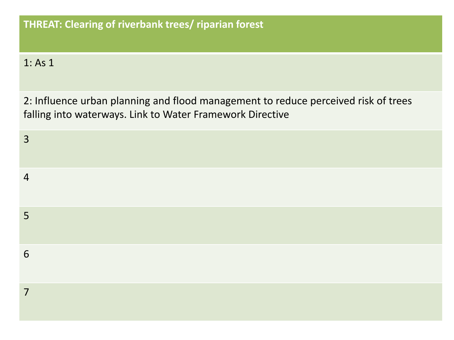### 1: As 1

2: Influence urban planning and flood management to reduce perceived risk of trees falling into waterways. Link to Water Framework Directive

| $\overline{3}$ |  |  |  |
|----------------|--|--|--|
| $\overline{4}$ |  |  |  |
| 5              |  |  |  |
| 6              |  |  |  |
| $\overline{7}$ |  |  |  |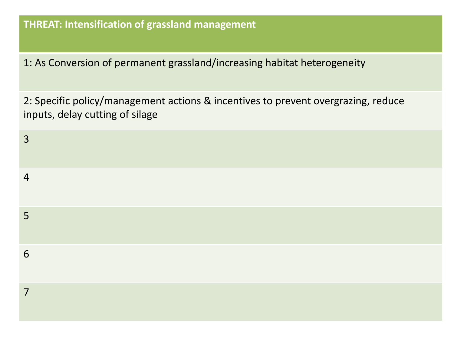1: As Conversion of permanent grassland/increasing habitat heterogeneity

2: Specific policy/management actions & incentives to prevent overgrazing, reduce inputs, delay cutting of silage

| $\overline{3}$ |  |  |  |
|----------------|--|--|--|
| $\overline{4}$ |  |  |  |
| $5\phantom{1}$ |  |  |  |
| 6              |  |  |  |
| $\overline{7}$ |  |  |  |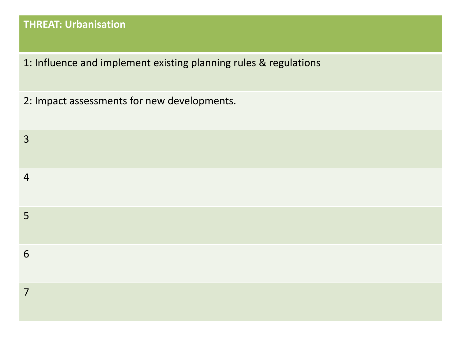## **THREAT: Urbanisation**

- 1: Influence and implement existing planning rules & regulations
- 2: Impact assessments for new developments.

| $\overline{3}$ |  |  |  |
|----------------|--|--|--|
| $\overline{4}$ |  |  |  |
| 5              |  |  |  |
| 6              |  |  |  |
| $\overline{7}$ |  |  |  |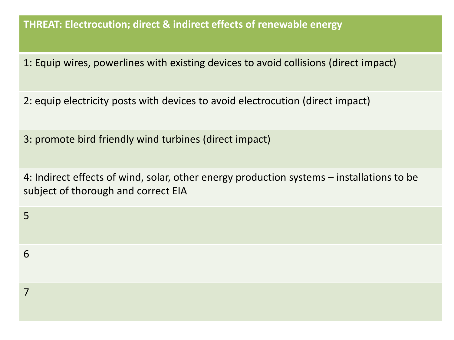#### **THREAT: Electrocution; direct & indirect effects of renewable energy**

1: Equip wires, powerlines with existing devices to avoid collisions (direct impact)

2: equip electricity posts with devices to avoid electrocution (direct impact)

3: promote bird friendly wind turbines (direct impact)

5

6

7

4: Indirect effects of wind, solar, other energy production systems – installations to be subject of thorough and correct EIA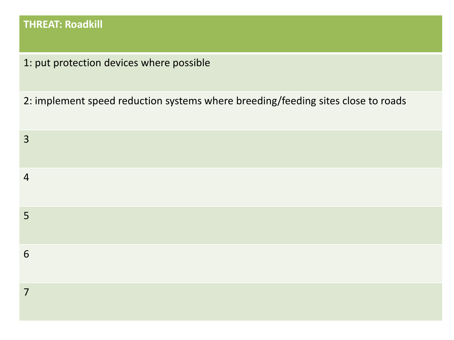## **THREAT: Roadkill**

1: put protection devices where possible

2: implement speed reduction systems where breeding/feeding sites close to roads

| $\overline{3}$  |  |  |  |
|-----------------|--|--|--|
| $\overline{4}$  |  |  |  |
| $5\overline{)}$ |  |  |  |
| 6               |  |  |  |
| $\overline{7}$  |  |  |  |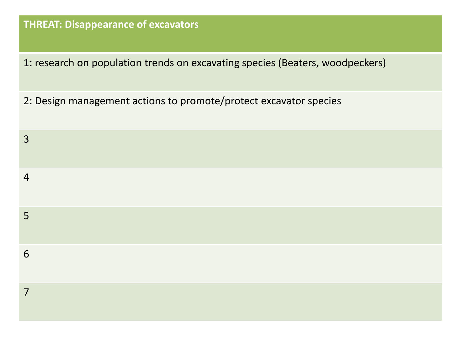## **THREAT: Disappearance of excavators**

1: research on population trends on excavating species (Beaters, woodpeckers)

2: Design management actions to promote/protect excavator species

| 3              |  |  |  |
|----------------|--|--|--|
| $\overline{4}$ |  |  |  |
| $5\phantom{1}$ |  |  |  |
| 6              |  |  |  |
| $\overline{7}$ |  |  |  |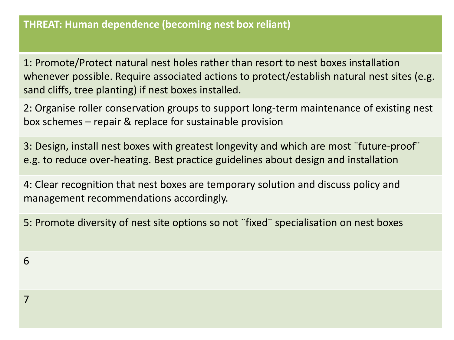1: Promote/Protect natural nest holes rather than resort to nest boxes installation whenever possible. Require associated actions to protect/establish natural nest sites (e.g. sand cliffs, tree planting) if nest boxes installed.

2: Organise roller conservation groups to support long-term maintenance of existing nest box schemes – repair & replace for sustainable provision

3: Design, install nest boxes with greatest longevity and which are most ¨future-proof¨ e.g. to reduce over-heating. Best practice guidelines about design and installation

4: Clear recognition that nest boxes are temporary solution and discuss policy and management recommendations accordingly.

5: Promote diversity of nest site options so not ¨fixed¨ specialisation on nest boxes

7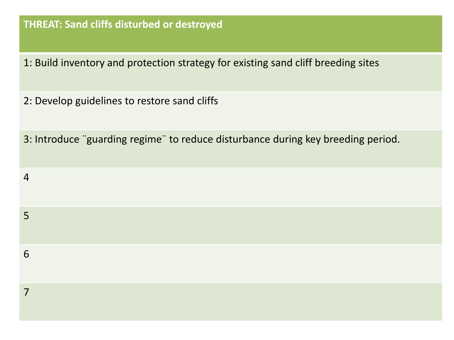#### **THREAT: Sand cliffs disturbed or destroyed**

- 1: Build inventory and protection strategy for existing sand cliff breeding sites
- 2: Develop guidelines to restore sand cliffs
- 3: Introduce ¨guarding regime¨ to reduce disturbance during key breeding period.

| $\overline{4}$ |  |  |  |
|----------------|--|--|--|
| 5              |  |  |  |
| 6              |  |  |  |
| 7              |  |  |  |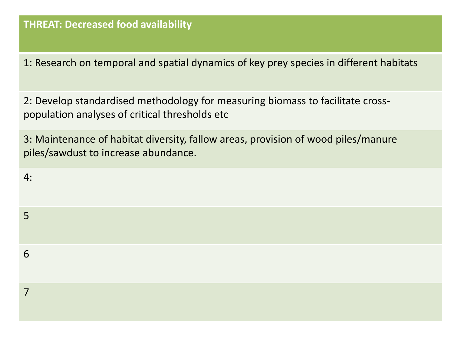1: Research on temporal and spatial dynamics of key prey species in different habitats

2: Develop standardised methodology for measuring biomass to facilitate crosspopulation analyses of critical thresholds etc

3: Maintenance of habitat diversity, fallow areas, provision of wood piles/manure piles/sawdust to increase abundance.

| 4: |  |  |
|----|--|--|
| 5  |  |  |
| 6  |  |  |
| 7  |  |  |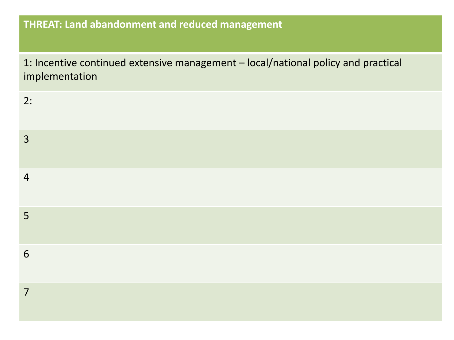## **THREAT: Land abandonment and reduced management**

1: Incentive continued extensive management – local/national policy and practical implementation

| 2:             |  |
|----------------|--|
| $\overline{3}$ |  |
| $\overline{4}$ |  |
| $5\phantom{.}$ |  |
| 6              |  |
| $\overline{7}$ |  |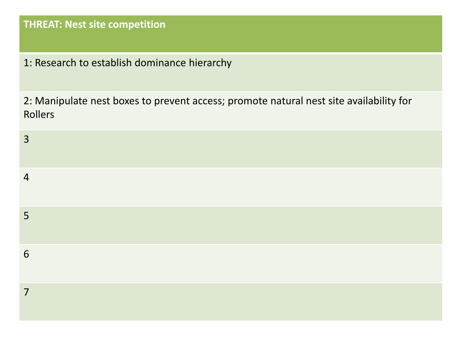### **THREAT: Nest site competition**

1: Research to establish dominance hierarchy

2: Manipulate nest boxes to prevent access; promote natural nest site availability for Rollers

| $\overline{3}$ |  |  |  |
|----------------|--|--|--|
| $\overline{4}$ |  |  |  |
| $5\phantom{1}$ |  |  |  |
| 6              |  |  |  |
| $\overline{7}$ |  |  |  |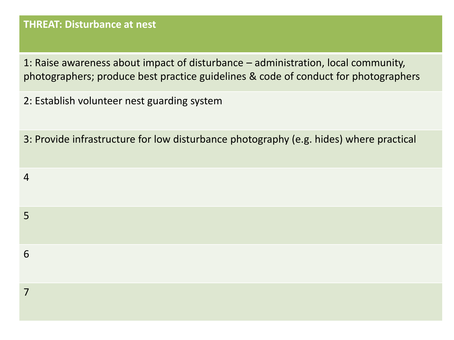#### **THREAT: Disturbance at nest**

1: Raise awareness about impact of disturbance – administration, local community, photographers; produce best practice guidelines & code of conduct for photographers

2: Establish volunteer nest guarding system

3: Provide infrastructure for low disturbance photography (e.g. hides) where practical

| $\overline{4}$ |  |  |  |
|----------------|--|--|--|
| 5              |  |  |  |
| 6              |  |  |  |
| $\overline{7}$ |  |  |  |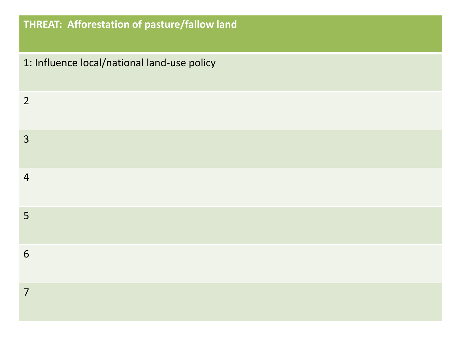## **THREAT: Afforestation of pasture/fallow land**

| 1: Influence local/national land-use policy |
|---------------------------------------------|
| $\overline{2}$                              |
| $\overline{3}$                              |
| $\overline{4}$                              |
| 5                                           |
| 6                                           |
| $\overline{7}$                              |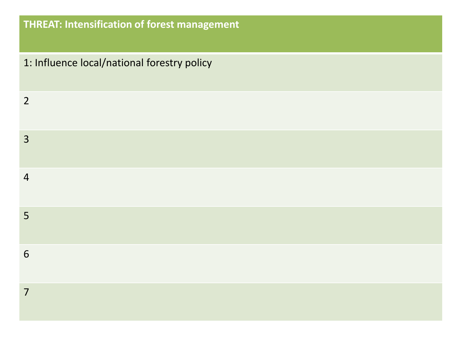# **THREAT: Intensification of forest management**

| 1: Influence local/national forestry policy |
|---------------------------------------------|
| $\overline{2}$                              |
| $\overline{3}$                              |
| $\overline{4}$                              |
| 5                                           |
| 6                                           |
| $\overline{7}$                              |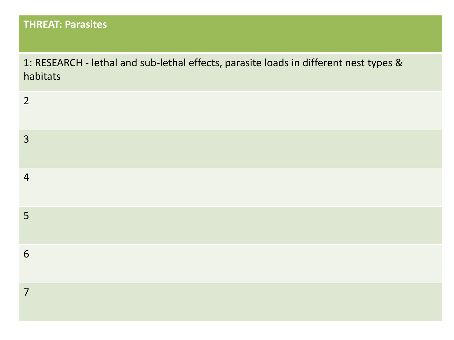## **THREAT: Parasites**

1: RESEARCH - lethal and sub-lethal effects, parasite loads in different nest types & habitats

| $\overline{2}$ |  |  |  |
|----------------|--|--|--|
| $\overline{3}$ |  |  |  |
| $\overline{4}$ |  |  |  |
| 5              |  |  |  |
| 6              |  |  |  |
| $\overline{7}$ |  |  |  |